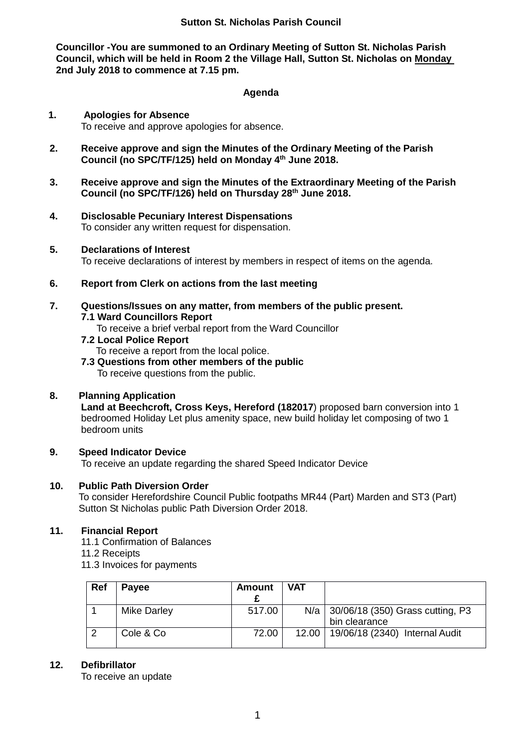### **Sutton St. Nicholas Parish Council**

**Councillor -You are summoned to an Ordinary Meeting of Sutton St. Nicholas Parish Council, which will be held in Room 2 the Village Hall, Sutton St. Nicholas on Monday 2nd July 2018 to commence at 7.15 pm.**

#### **Agenda**

## **1. Apologies for Absence** To receive and approve apologies for absence.

- **2. Receive approve and sign the Minutes of the Ordinary Meeting of the Parish Council (no SPC/TF/125) held on Monday 4th June 2018.**
- **3. Receive approve and sign the Minutes of the Extraordinary Meeting of the Parish Council (no SPC/TF/126) held on Thursday 28th June 2018.**
- **4. Disclosable Pecuniary Interest Dispensations** To consider any written request for dispensation.
- **5. Declarations of Interest**

To receive declarations of interest by members in respect of items on the agenda.

- **6. Report from Clerk on actions from the last meeting**
- **7. Questions/Issues on any matter, from members of the public present. 7.1 Ward Councillors Report**
	- - To receive a brief verbal report from the Ward Councillor
	- **7.2 Local Police Report**

To receive a report from the local police.

**7.3 Questions from other members of the public** To receive questions from the public.

## **8. Planning Application**

**Land at Beechcroft, Cross Keys, Hereford (182017**) proposed barn conversion into 1 bedroomed Holiday Let plus amenity space, new build holiday let composing of two 1 bedroom units

# **9. Speed Indicator Device**

To receive an update regarding the shared Speed Indicator Device

## **10. Public Path Diversion Order**

To consider Herefordshire Council Public footpaths MR44 (Part) Marden and ST3 (Part) Sutton St Nicholas public Path Diversion Order 2018.

# **11. Financial Report**

11.1 Confirmation of Balances

- 11.2 Receipts
- 11.3 Invoices for payments

| Ref | <b>Payee</b>       | <b>Amount</b> | <b>VAT</b> |                                                         |
|-----|--------------------|---------------|------------|---------------------------------------------------------|
|     | <b>Mike Darley</b> | 517.00        |            | N/a   30/06/18 (350) Grass cutting, P3<br>bin clearance |
|     | Cole & Co          | 72.00         |            | 12.00   19/06/18 (2340) Internal Audit                  |

## **12. Defibrillator**

To receive an update